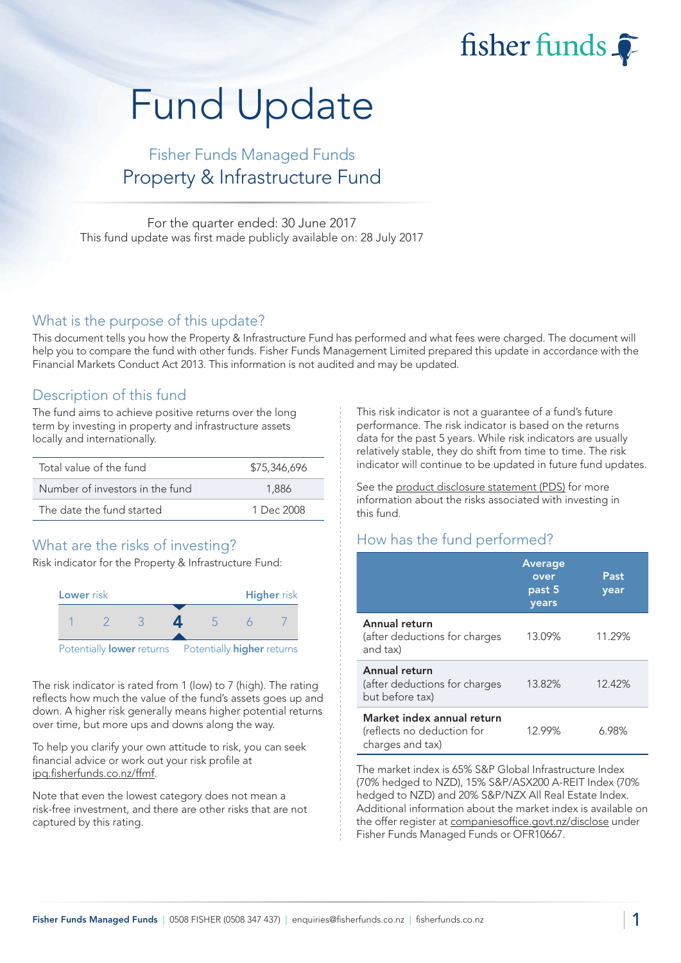fisher funds

# Fund Update

## Fisher Funds Managed Funds Property & Infrastructure Fund

For the quarter ended: 30 June 2017 This fund update was first made publicly available on: 28 July 2017

#### What is the purpose of this update?

This document tells you how the Property & Infrastructure Fund has performed and what fees were charged. The document will help you to compare the fund with other funds. Fisher Funds Management Limited prepared this update in accordance with the Financial Markets Conduct Act 2013. This information is not audited and may be updated.

#### Description of this fund

The fund aims to achieve positive returns over the long term by investing in property and infrastructure assets locally and internationally.

| Total value of the fund         | \$75,346,696 |  |  |
|---------------------------------|--------------|--|--|
| Number of investors in the fund | 1.886        |  |  |
| The date the fund started       | 1 Dec 2008   |  |  |

## What are the risks of investing?

Risk indicator for the Property & Infrastructure Fund:



The risk indicator is rated from 1 (low) to 7 (high). The rating reflects how much the value of the fund's assets goes up and down. A higher risk generally means higher potential returns over time, but more ups and downs along the way.

To help you clarify your own attitude to risk, you can seek financial advice or work out your risk profile at [ipq.fisherfunds.co.nz/ffmf.](https://ipq.fisherfunds.co.nz/ffmf)

Note that even the lowest category does not mean a risk-free investment, and there are other risks that are not captured by this rating.

This risk indicator is not a guarantee of a fund's future performance. The risk indicator is based on the returns data for the past 5 years. While risk indicators are usually relatively stable, they do shift from time to time. The risk indicator will continue to be updated in future fund updates.

See the [product disclosure statement \(PDS\)](https://fisherfunds.co.nz/assets/PDS/Fisher-Funds-Managed-Funds-PDS.pdf) for more information about the risks associated with investing in this fund.

## How has the fund performed?

|                                                                              | <b>Average</b><br>over<br>past 5<br>years | Past<br>year |
|------------------------------------------------------------------------------|-------------------------------------------|--------------|
| Annual return<br>(after deductions for charges<br>and tax)                   | 13.09%                                    | 11.29%       |
| Annual return<br>(after deductions for charges<br>but before tax)            | 13.82%                                    | 12.42%       |
| Market index annual return<br>(reflects no deduction for<br>charges and tax) | 12.99%                                    | 6.98%        |

The market index is 65% S&P Global Infrastructure Index (70% hedged to NZD), 15% S&P/ASX200 A-REIT Index (70% hedged to NZD) and 20% S&P/NZX All Real Estate Index. Additional information about the market index is available on the offer register at [companiesoffice.govt.nz/disclose](http://companiesoffice.govt.nz/disclose) under Fisher Funds Managed Funds or OFR10667.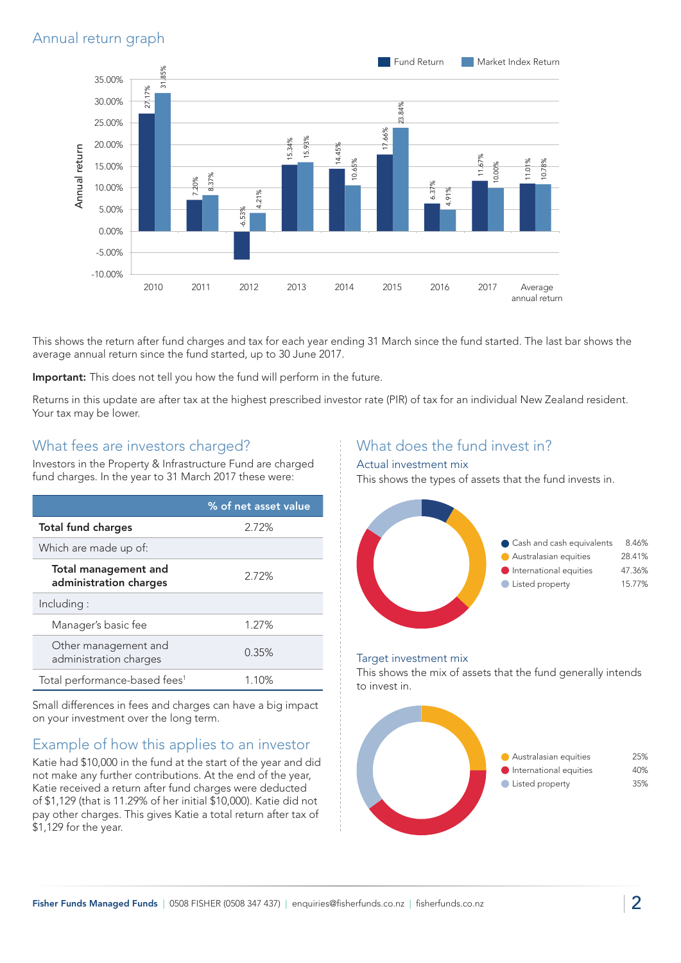### Annual return graph



This shows the return after fund charges and tax for each year ending 31 March since the fund started. The last bar shows the average annual return since the fund started, up to 30 June 2017.

Important: This does not tell you how the fund will perform in the future.

Returns in this update are after tax at the highest prescribed investor rate (PIR) of tax for an individual New Zealand resident. Your tax may be lower.

#### What fees are investors charged?

Investors in the Property & Infrastructure Fund are charged fund charges. In the year to 31 March 2017 these were:

|                                                       | % of net asset value |
|-------------------------------------------------------|----------------------|
| <b>Total fund charges</b><br>2.72%                    |                      |
| Which are made up of:                                 |                      |
| <b>Total management and</b><br>administration charges | 2.72%                |
| Including:                                            |                      |
| Manager's basic fee                                   | 1.27%                |
| Other management and<br>administration charges        | 0.35%                |
| Total performance-based fees <sup>1</sup>             | 1.10%                |

Small differences in fees and charges can have a big impact on your investment over the long term.

#### Example of how this applies to an investor

Katie had \$10,000 in the fund at the start of the year and did not make any further contributions. At the end of the year, Katie received a return after fund charges were deducted of \$1,129 (that is 11.29% of her initial \$10,000). Katie did not pay other charges. This gives Katie a total return after tax of \$1,129 for the year.

#### What does the fund invest in?

#### Actual investment mix

This shows the types of assets that the fund invests in.



#### Target investment mix

This shows the mix of assets that the fund generally intends to invest in.